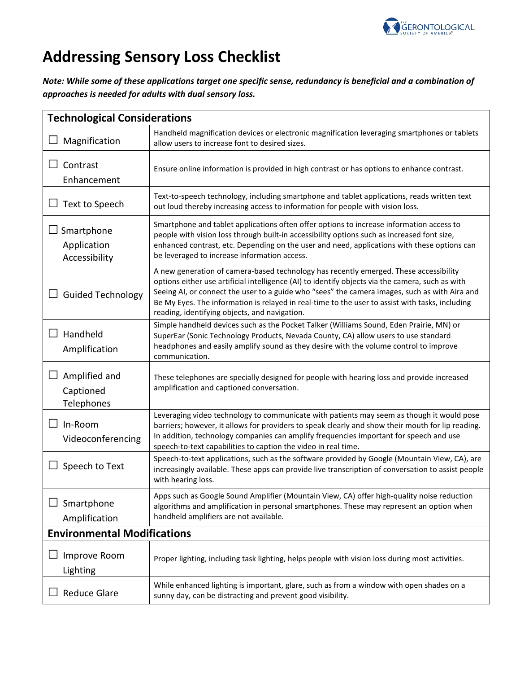

## **Addressing Sensory Loss Checklist**

*Note: While some of these applications target one specific sense, redundancy is beneficial and a combination of approaches is needed for adults with dual sensory loss.*

| <b>Technological Considerations</b>           |                                                                                                                                                                                                                                                                                                                                                                                                                                                |  |
|-----------------------------------------------|------------------------------------------------------------------------------------------------------------------------------------------------------------------------------------------------------------------------------------------------------------------------------------------------------------------------------------------------------------------------------------------------------------------------------------------------|--|
| Magnification                                 | Handheld magnification devices or electronic magnification leveraging smartphones or tablets<br>allow users to increase font to desired sizes.                                                                                                                                                                                                                                                                                                 |  |
| Contrast<br>Enhancement                       | Ensure online information is provided in high contrast or has options to enhance contrast.                                                                                                                                                                                                                                                                                                                                                     |  |
| Text to Speech                                | Text-to-speech technology, including smartphone and tablet applications, reads written text<br>out loud thereby increasing access to information for people with vision loss.                                                                                                                                                                                                                                                                  |  |
| Smartphone<br>Application<br>Accessibility    | Smartphone and tablet applications often offer options to increase information access to<br>people with vision loss through built-in accessibility options such as increased font size,<br>enhanced contrast, etc. Depending on the user and need, applications with these options can<br>be leveraged to increase information access.                                                                                                         |  |
| <b>Guided Technology</b>                      | A new generation of camera-based technology has recently emerged. These accessibility<br>options either use artificial intelligence (AI) to identify objects via the camera, such as with<br>Seeing AI, or connect the user to a guide who "sees" the camera images, such as with Aira and<br>Be My Eyes. The information is relayed in real-time to the user to assist with tasks, including<br>reading, identifying objects, and navigation. |  |
| Handheld<br>囗<br>Amplification                | Simple handheld devices such as the Pocket Talker (Williams Sound, Eden Prairie, MN) or<br>SuperEar (Sonic Technology Products, Nevada County, CA) allow users to use standard<br>headphones and easily amplify sound as they desire with the volume control to improve<br>communication.                                                                                                                                                      |  |
| ப<br>Amplified and<br>Captioned<br>Telephones | These telephones are specially designed for people with hearing loss and provide increased<br>amplification and captioned conversation.                                                                                                                                                                                                                                                                                                        |  |
| In-Room<br>Videoconferencing                  | Leveraging video technology to communicate with patients may seem as though it would pose<br>barriers; however, it allows for providers to speak clearly and show their mouth for lip reading.<br>In addition, technology companies can amplify frequencies important for speech and use<br>speech-to-text capabilities to caption the video in real time.                                                                                     |  |
| Speech to Text                                | Speech-to-text applications, such as the software provided by Google (Mountain View, CA), are<br>increasingly available. These apps can provide live transcription of conversation to assist people<br>with hearing loss.                                                                                                                                                                                                                      |  |
| Smartphone<br>Amplification                   | Apps such as Google Sound Amplifier (Mountain View, CA) offer high-quality noise reduction<br>algorithms and amplification in personal smartphones. These may represent an option when<br>handheld amplifiers are not available.                                                                                                                                                                                                               |  |
| <b>Environmental Modifications</b>            |                                                                                                                                                                                                                                                                                                                                                                                                                                                |  |
| Improve Room<br>Lighting                      | Proper lighting, including task lighting, helps people with vision loss during most activities.                                                                                                                                                                                                                                                                                                                                                |  |
| <b>Reduce Glare</b>                           | While enhanced lighting is important, glare, such as from a window with open shades on a<br>sunny day, can be distracting and prevent good visibility.                                                                                                                                                                                                                                                                                         |  |